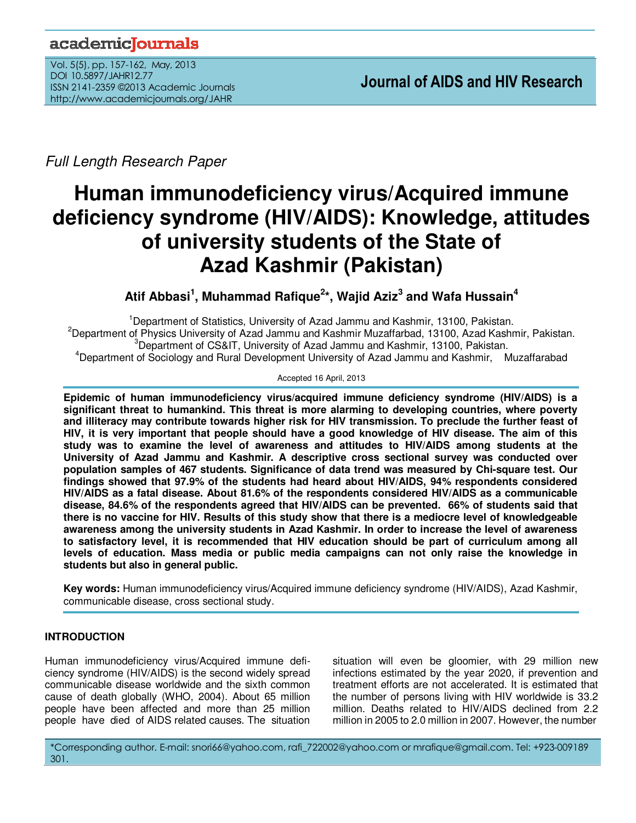# academicoournals

Vol. 5(5), pp. 157-162, May, 2013 DOI 10.5897/JAHR12.77 ISSN 2141-2359 ©2013 Academic Journals http://www.academicjournals.org/JAHR

Full Length Research Paper

# **Human immunodeficiency virus/Acquired immune deficiency syndrome (HIV/AIDS): Knowledge, attitudes of university students of the State of Azad Kashmir (Pakistan)**

**Atif Abbasi<sup>1</sup> , Muhammad Rafique<sup>2</sup> \*, Wajid Aziz<sup>3</sup> and Wafa Hussain<sup>4</sup>**

Department of Statistics, University of Azad Jammu and Kashmir, 13100, Pakistan. Department of Physics University of Azad Jammu and Kashmir Muzaffarbad, 13100, Azad Kashmir, Pakistan. Department of CS&IT, University of Azad Jammu and Kashmir, 13100, Pakistan. Department of Sociology and Rural Development University of Azad Jammu and Kashmir, Muzaffarabad

#### Accepted 16 April, 2013

**Epidemic of human immunodeficiency virus/acquired immune deficiency syndrome (HIV/AIDS) is a significant threat to humankind. This threat is more alarming to developing countries, where poverty and illiteracy may contribute towards higher risk for HIV transmission. To preclude the further feast of HIV, it is very important that people should have a good knowledge of HIV disease. The aim of this study was to examine the level of awareness and attitudes to HIV/AIDS among students at the University of Azad Jammu and Kashmir. A descriptive cross sectional survey was conducted over population samples of 467 students. Significance of data trend was measured by Chi-square test. Our findings showed that 97.9% of the students had heard about HIV/AIDS, 94% respondents considered HIV/AIDS as a fatal disease. About 81.6% of the respondents considered HIV/AIDS as a communicable disease, 84.6% of the respondents agreed that HIV/AIDS can be prevented. 66% of students said that there is no vaccine for HIV. Results of this study show that there is a mediocre level of knowledgeable awareness among the university students in Azad Kashmir. In order to increase the level of awareness to satisfactory level, it is recommended that HIV education should be part of curriculum among all levels of education. Mass media or public media campaigns can not only raise the knowledge in students but also in general public.** 

**Key words:** Human immunodeficiency virus/Acquired immune deficiency syndrome (HIV/AIDS), Azad Kashmir, communicable disease, cross sectional study.

# **INTRODUCTION**

Human immunodeficiency virus/Acquired immune deficiency syndrome (HIV/AIDS) is the second widely spread communicable disease worldwide and the sixth common cause of death globally (WHO, 2004). About 65 million people have been affected and more than 25 million people have died of AIDS related causes. The situation

situation will even be gloomier, with 29 million new infections estimated by the year 2020, if prevention and treatment efforts are not accelerated. It is estimated that the number of persons living with HIV worldwide is 33.2 million. Deaths related to HIV/AIDS declined from 2.2 million in 2005 to 2.0 million in 2007. However, the number

\*Corresponding author. E-mail: snori66@yahoo.com, rafi\_722002@yahoo.com or mrafique@gmail.com. Tel: +923-009189 301.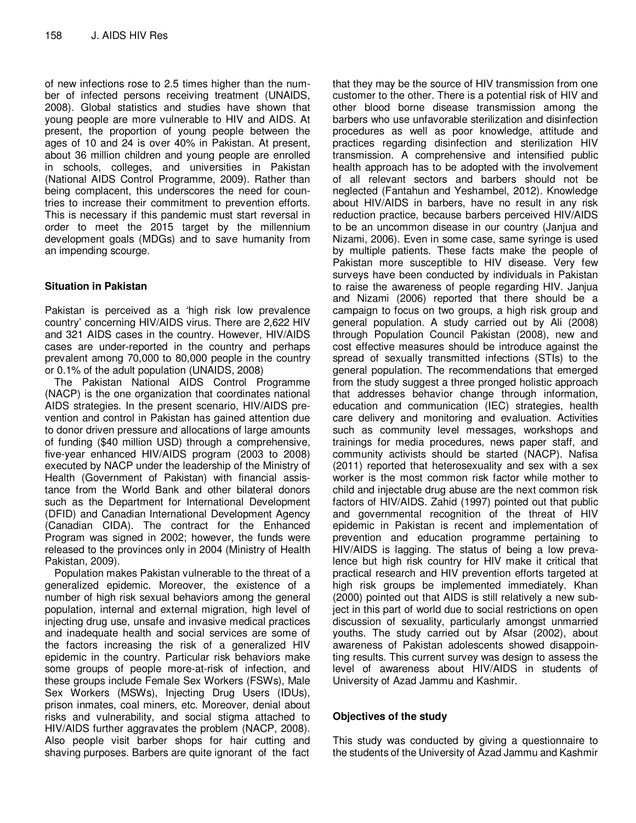of new infections rose to 2.5 times higher than the number of infected persons receiving treatment (UNAIDS, 2008). Global statistics and studies have shown that young people are more vulnerable to HIV and AIDS. At present, the proportion of young people between the ages of 10 and 24 is over 40% in Pakistan. At present, about 36 million children and young people are enrolled in schools, colleges, and universities in Pakistan (National AIDS Control Programme, 2009). Rather than being complacent, this underscores the need for countries to increase their commitment to prevention efforts. This is necessary if this pandemic must start reversal in order to meet the 2015 target by the millennium development goals (MDGs) and to save humanity from an impending scourge.

# **Situation in Pakistan**

Pakistan is perceived as a 'high risk low prevalence country' concerning HIV/AIDS virus. There are 2,622 HIV and 321 AIDS cases in the country. However, HIV/AIDS cases are under-reported in the country and perhaps prevalent among 70,000 to 80,000 people in the country or 0.1% of the adult population (UNAIDS, 2008)

The Pakistan National AIDS Control Programme (NACP) is the one organization that coordinates national AIDS strategies. In the present scenario, HIV/AIDS prevention and control in Pakistan has gained attention due to donor driven pressure and allocations of large amounts of funding (\$40 million USD) through a comprehensive, five-year enhanced HIV/AIDS program (2003 to 2008) executed by NACP under the leadership of the Ministry of Health (Government of Pakistan) with financial assistance from the World Bank and other bilateral donors such as the Department for International Development (DFID) and Canadian International Development Agency (Canadian CIDA). The contract for the Enhanced Program was signed in 2002; however, the funds were released to the provinces only in 2004 (Ministry of Health Pakistan, 2009).

Population makes Pakistan vulnerable to the threat of a generalized epidemic. Moreover, the existence of a number of high risk sexual behaviors among the general population, internal and external migration, high level of injecting drug use, unsafe and invasive medical practices and inadequate health and social services are some of the factors increasing the risk of a generalized HIV epidemic in the country. Particular risk behaviors make some groups of people more-at-risk of infection, and these groups include Female Sex Workers (FSWs), Male Sex Workers (MSWs), Injecting Drug Users (IDUs), prison inmates, coal miners, etc. Moreover, denial about risks and vulnerability, and social stigma attached to HIV/AIDS further aggravates the problem (NACP, 2008). Also people visit barber shops for hair cutting and shaving purposes. Barbers are quite ignorant of the fact

that they may be the source of HIV transmission from one customer to the other. There is a potential risk of HIV and other blood borne disease transmission among the barbers who use unfavorable sterilization and disinfection procedures as well as poor knowledge, attitude and practices regarding disinfection and sterilization HIV transmission. A comprehensive and intensified public health approach has to be adopted with the involvement of all relevant sectors and barbers should not be neglected (Fantahun and Yeshambel, 2012). Knowledge about HIV/AIDS in barbers, have no result in any risk reduction practice, because barbers perceived HIV/AIDS to be an uncommon disease in our country (Janjua and Nizami, 2006). Even in some case, same syringe is used by multiple patients. These facts make the people of Pakistan more susceptible to HIV disease. Very few surveys have been conducted by individuals in Pakistan to raise the awareness of people regarding HIV. Janjua and Nizami (2006) reported that there should be a campaign to focus on two groups, a high risk group and general population. A study carried out by Ali (2008) through Population Council Pakistan (2008), new and cost effective measures should be introduce against the spread of sexually transmitted infections (STIs) to the general population. The recommendations that emerged from the study suggest a three pronged holistic approach that addresses behavior change through information, education and communication (IEC) strategies, health care delivery and monitoring and evaluation. Activities such as community level messages, workshops and trainings for media procedures, news paper staff, and community activists should be started (NACP). Nafisa (2011) reported that heterosexuality and sex with a sex worker is the most common risk factor while mother to child and injectable drug abuse are the next common risk factors of HIV/AIDS. Zahid (1997) pointed out that public and governmental recognition of the threat of HIV epidemic in Pakistan is recent and implementation of prevention and education programme pertaining to HIV/AIDS is lagging. The status of being a low prevalence but high risk country for HIV make it critical that practical research and HIV prevention efforts targeted at high risk groups be implemented immediately. Khan (2000) pointed out that AIDS is still relatively a new subject in this part of world due to social restrictions on open discussion of sexuality, particularly amongst unmarried youths. The study carried out by Afsar (2002), about awareness of Pakistan adolescents showed disappointing results. This current survey was design to assess the level of awareness about HIV/AIDS in students of University of Azad Jammu and Kashmir.

# **Objectives of the study**

This study was conducted by giving a questionnaire to the students of the University of Azad Jammu and Kashmir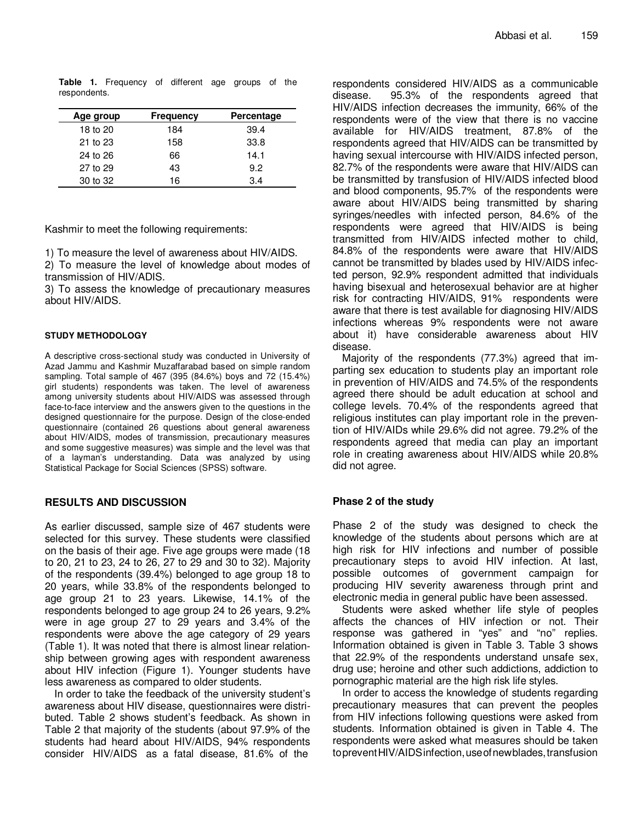| Age group | <b>Frequency</b> | Percentage |
|-----------|------------------|------------|
| 18 to 20  | 184              | 39.4       |
| 21 to 23  | 158              | 33.8       |
| 24 to 26  | 66               | 14.1       |
| 27 to 29  | 43               | 9.2        |
| 30 to 32  | 16               | 34         |

**Table 1.** Frequency of different age groups of the respondents.

Kashmir to meet the following requirements:

1) To measure the level of awareness about HIV/AIDS.

2) To measure the level of knowledge about modes of transmission of HIV/ADIS.

3) To assess the knowledge of precautionary measures about HIV/AIDS.

#### **STUDY METHODOLOGY**

A descriptive cross-sectional study was conducted in University of Azad Jammu and Kashmir Muzaffarabad based on simple random sampling. Total sample of 467 (395 (84.6%) boys and 72 (15.4%) girl students) respondents was taken. The level of awareness among university students about HIV/AIDS was assessed through face-to-face interview and the answers given to the questions in the designed questionnaire for the purpose. Design of the close-ended questionnaire (contained 26 questions about general awareness about HIV/AIDS, modes of transmission, precautionary measures and some suggestive measures) was simple and the level was that of a layman's understanding. Data was analyzed by using Statistical Package for Social Sciences (SPSS) software.

# **RESULTS AND DISCUSSION**

As earlier discussed, sample size of 467 students were selected for this survey. These students were classified on the basis of their age. Five age groups were made (18 to 20, 21 to 23, 24 to 26, 27 to 29 and 30 to 32). Majority of the respondents (39.4%) belonged to age group 18 to 20 years, while 33.8% of the respondents belonged to age group 21 to 23 years. Likewise, 14.1% of the respondents belonged to age group 24 to 26 years, 9.2% were in age group 27 to 29 years and 3.4% of the respondents were above the age category of 29 years (Table 1). It was noted that there is almost linear relationship between growing ages with respondent awareness about HIV infection (Figure 1). Younger students have less awareness as compared to older students.

In order to take the feedback of the university student's awareness about HIV disease, questionnaires were distributed. Table 2 shows student's feedback. As shown in Table 2 that majority of the students (about 97.9% of the students had heard about HIV/AIDS, 94% respondents consider HIV/AIDS as a fatal disease, 81.6% of the

respondents considered HIV/AIDS as a communicable disease. 95.3% of the respondents agreed that HIV/AIDS infection decreases the immunity, 66% of the respondents were of the view that there is no vaccine available for HIV/AIDS treatment, 87.8% of the respondents agreed that HIV/AIDS can be transmitted by having sexual intercourse with HIV/AIDS infected person, 82.7% of the respondents were aware that HIV/AIDS can be transmitted by transfusion of HIV/AIDS infected blood and blood components, 95.7% of the respondents were aware about HIV/AIDS being transmitted by sharing syringes/needles with infected person, 84.6% of the respondents were agreed that HIV/AIDS is being transmitted from HIV/AIDS infected mother to child, 84.8% of the respondents were aware that HIV/AIDS cannot be transmitted by blades used by HIV/AIDS infected person, 92.9% respondent admitted that individuals having bisexual and heterosexual behavior are at higher risk for contracting HIV/AIDS, 91% respondents were aware that there is test available for diagnosing HIV/AIDS infections whereas 9% respondents were not aware about it) have considerable awareness about HIV disease.

Majority of the respondents (77.3%) agreed that imparting sex education to students play an important role in prevention of HIV/AIDS and 74.5% of the respondents agreed there should be adult education at school and college levels. 70.4% of the respondents agreed that religious institutes can play important role in the prevention of HIV/AIDs while 29.6% did not agree. 79.2% of the respondents agreed that media can play an important role in creating awareness about HIV/AIDS while 20.8% did not agree.

# **Phase 2 of the study**

Phase 2 of the study was designed to check the knowledge of the students about persons which are at high risk for HIV infections and number of possible precautionary steps to avoid HIV infection. At last, possible outcomes of government campaign for producing HIV severity awareness through print and electronic media in general public have been assessed.

Students were asked whether life style of peoples affects the chances of HIV infection or not. Their response was gathered in "yes" and "no" replies. Information obtained is given in Table 3. Table 3 shows that 22.9% of the respondents understand unsafe sex, drug use; heroine and other such addictions, addiction to pornographic material are the high risk life styles.

In order to access the knowledge of students regarding precautionary measures that can prevent the peoples from HIV infections following questions were asked from students. Information obtained is given in Table 4. The respondents were asked what measures should be taken topreventHIV/AIDSinfection,useofnewblades,transfusion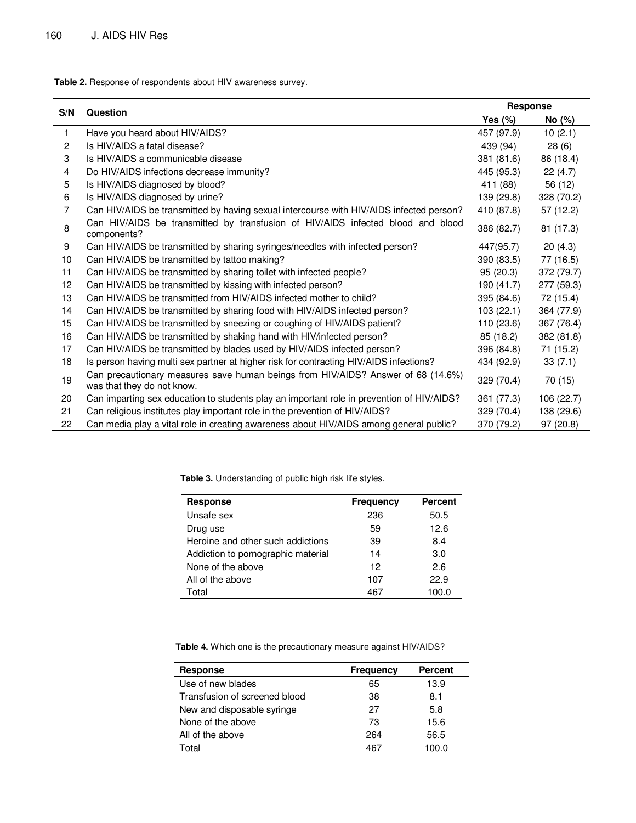$\overline{a}$ 

**Table 2.** Response of respondents about HIV awareness survey.

|              | Question                                                                                                       | <b>Response</b> |            |
|--------------|----------------------------------------------------------------------------------------------------------------|-----------------|------------|
| S/N          |                                                                                                                | Yes $(\%)$      | No (%)     |
| $\mathbf{1}$ | Have you heard about HIV/AIDS?                                                                                 | 457 (97.9)      | 10(2.1)    |
| 2            | Is HIV/AIDS a fatal disease?                                                                                   | 439 (94)        | 28(6)      |
| 3            | Is HIV/AIDS a communicable disease                                                                             | 381 (81.6)      | 86 (18.4)  |
| 4            | Do HIV/AIDS infections decrease immunity?                                                                      | 445 (95.3)      | 22(4.7)    |
| 5            | Is HIV/AIDS diagnosed by blood?                                                                                | 411 (88)        | 56 (12)    |
| 6            | Is HIV/AIDS diagnosed by urine?                                                                                | 139 (29.8)      | 328 (70.2) |
| 7            | Can HIV/AIDS be transmitted by having sexual intercourse with HIV/AIDS infected person?                        | 410 (87.8)      | 57(12.2)   |
| 8            | Can HIV/AIDS be transmitted by transfusion of HIV/AIDS infected blood and blood<br>components?                 | 386 (82.7)      | 81 (17.3)  |
| 9            | Can HIV/AIDS be transmitted by sharing syringes/needles with infected person?                                  | 447(95.7)       | 20(4.3)    |
| 10           | Can HIV/AIDS be transmitted by tattoo making?                                                                  | 390 (83.5)      | 77 (16.5)  |
| 11           | Can HIV/AIDS be transmitted by sharing toilet with infected people?                                            | 95(20.3)        | 372 (79.7) |
| 12           | Can HIV/AIDS be transmitted by kissing with infected person?                                                   | 190 (41.7)      | 277 (59.3) |
| 13           | Can HIV/AIDS be transmitted from HIV/AIDS infected mother to child?                                            | 395 (84.6)      | 72 (15.4)  |
| 14           | Can HIV/AIDS be transmitted by sharing food with HIV/AIDS infected person?                                     | 103(22.1)       | 364 (77.9) |
| 15           | Can HIV/AIDS be transmitted by sneezing or coughing of HIV/AIDS patient?                                       | 110 (23.6)      | 367 (76.4) |
| 16           | Can HIV/AIDS be transmitted by shaking hand with HIV/infected person?                                          | 85 (18.2)       | 382 (81.8) |
| 17           | Can HIV/AIDS be transmitted by blades used by HIV/AIDS infected person?                                        | 396 (84.8)      | 71 (15.2)  |
| 18           | Is person having multi sex partner at higher risk for contracting HIV/AIDS infections?                         | 434 (92.9)      | 33(7.1)    |
| 19           | Can precautionary measures save human beings from HIV/AIDS? Answer of 68 (14.6%)<br>was that they do not know. | 329 (70.4)      | 70 (15)    |
| 20           | Can imparting sex education to students play an important role in prevention of HIV/AIDS?                      | 361 (77.3)      | 106 (22.7) |
| 21           | Can religious institutes play important role in the prevention of HIV/AIDS?                                    | 329 (70.4)      | 138 (29.6) |
| 22           | Can media play a vital role in creating awareness about HIV/AIDS among general public?                         | 370 (79.2)      | 97 (20.8)  |

**Table 3.** Understanding of public high risk life styles.

| <b>Response</b>                    | <b>Frequency</b> | <b>Percent</b> |
|------------------------------------|------------------|----------------|
| Unsafe sex                         | 236              | 50.5           |
| Drug use                           | 59               | 12.6           |
| Heroine and other such addictions  | 39               | 8.4            |
| Addiction to pornographic material | 14               | 3.0            |
| None of the above                  | 12               | 2.6            |
| All of the above                   | 107              | 22.9           |
| Total                              | 467              | 100.0          |

**Table 4.** Which one is the precautionary measure against HIV/AIDS?

| <b>Response</b>               | <b>Frequency</b> | <b>Percent</b> |
|-------------------------------|------------------|----------------|
| Use of new blades             | 65               | 13.9           |
| Transfusion of screened blood | 38               | 8.1            |
| New and disposable syringe    | 27               | 5.8            |
| None of the above             | 73               | 15.6           |
| All of the above              | 264              | 56.5           |
| Total                         | 467              | 100.0          |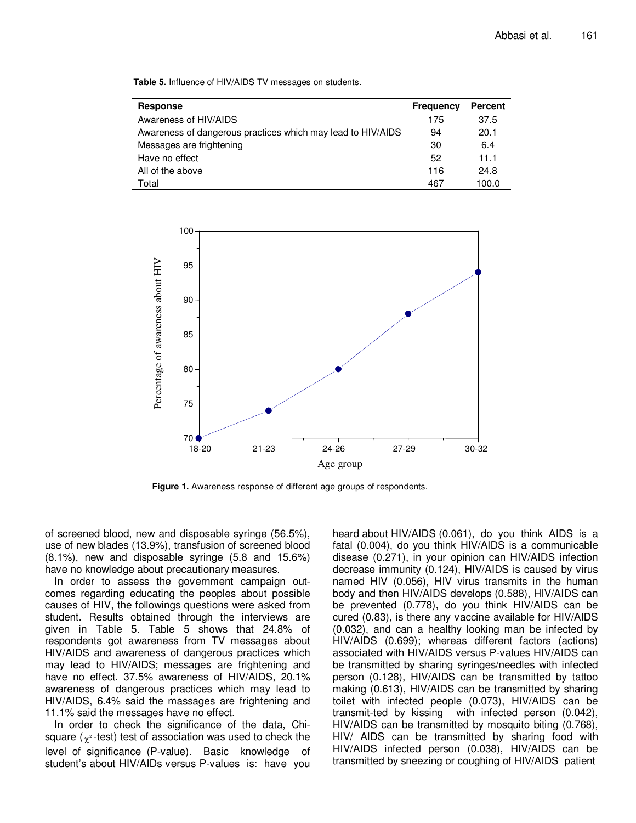**Table 5.** Influence of HIV/AIDS TV messages on students.

| <b>Response</b>                                             | <b>Frequency</b> | <b>Percent</b> |
|-------------------------------------------------------------|------------------|----------------|
| Awareness of HIV/AIDS                                       | 175              | 37.5           |
| Awareness of dangerous practices which may lead to HIV/AIDS | 94               | 20.1           |
| Messages are frightening                                    | 30               | 6.4            |
| Have no effect                                              | 52               | 11.1           |
| All of the above                                            | 116              | 24.8           |
| Total                                                       | 467              | 100.0          |



**Figure 1.** Awareness response of different age groups of respondents.

of screened blood, new and disposable syringe (56.5%), use of new blades (13.9%), transfusion of screened blood (8.1%), new and disposable syringe (5.8 and 15.6%) have no knowledge about precautionary measures.

In order to assess the government campaign outcomes regarding educating the peoples about possible causes of HIV, the followings questions were asked from student. Results obtained through the interviews are given in Table 5. Table 5 shows that 24.8% of respondents got awareness from TV messages about HIV/AIDS and awareness of dangerous practices which may lead to HIV/AIDS; messages are frightening and have no effect. 37.5% awareness of HIV/AIDS, 20.1% awareness of dangerous practices which may lead to HIV/AIDS, 6.4% said the massages are frightening and 11.1% said the messages have no effect.

In order to check the significance of the data, Chisquare ( $\chi^{\scriptscriptstyle 2}$ -test) test of association was used to check the level of significance (P-value). Basic knowledge of student's about HIV/AIDs versus P-values is: have you

heard about HIV/AIDS (0.061), do you think AIDS is a fatal (0.004), do you think HIV/AIDS is a communicable disease (0.271), in your opinion can HIV/AIDS infection decrease immunity (0.124), HIV/AIDS is caused by virus named HIV (0.056), HIV virus transmits in the human body and then HIV/AIDS develops (0.588), HIV/AIDS can be prevented (0.778), do you think HIV/AIDS can be cured (0.83), is there any vaccine available for HIV/AIDS (0.032), and can a healthy looking man be infected by HIV/AIDS (0.699); whereas different factors (actions) associated with HIV/AIDS versus P-values HIV/AIDS can be transmitted by sharing syringes/needles with infected person (0.128), HIV/AIDS can be transmitted by tattoo making (0.613), HIV/AIDS can be transmitted by sharing toilet with infected people (0.073), HIV/AIDS can be transmit-ted by kissing with infected person (0.042), HIV/AIDS can be transmitted by mosquito biting (0.768), HIV/ AIDS can be transmitted by sharing food with HIV/AIDS infected person (0.038), HIV/AIDS can be transmitted by sneezing or coughing of HIV/AIDS patient